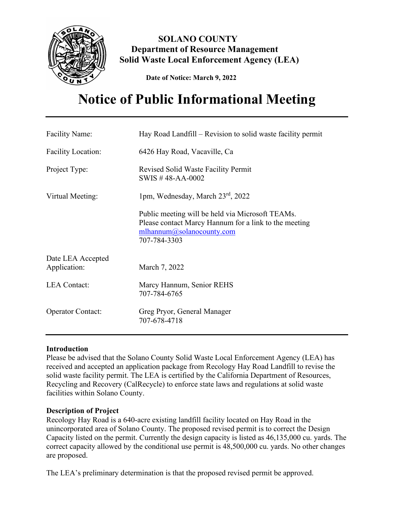

**SOLANO COUNTY Department of Resource Management Solid Waste Local Enforcement Agency (LEA)**

 **Date of Notice: March 9, 2022**

# **Notice of Public Informational Meeting**

| <b>Facility Name:</b>     | Hay Road Landfill – Revision to solid waste facility permit                                                                                            |
|---------------------------|--------------------------------------------------------------------------------------------------------------------------------------------------------|
| <b>Facility Location:</b> | 6426 Hay Road, Vacaville, Ca                                                                                                                           |
| Project Type:             | Revised Solid Waste Facility Permit<br>SWIS #48-AA-0002                                                                                                |
| Virtual Meeting:          | 1pm, Wednesday, March 23rd, 2022                                                                                                                       |
|                           | Public meeting will be held via Microsoft TEAMs.<br>Please contact Marcy Hannum for a link to the meeting<br>mlhannum@solanocounty.com<br>707-784-3303 |
| Date LEA Accepted         |                                                                                                                                                        |
| Application:              | March 7, 2022                                                                                                                                          |
| <b>LEA</b> Contact:       | Marcy Hannum, Senior REHS<br>707-784-6765                                                                                                              |
| <b>Operator Contact:</b>  | Greg Pryor, General Manager<br>707-678-4718                                                                                                            |

# **Introduction**

Please be advised that the Solano County Solid Waste Local Enforcement Agency (LEA) has received and accepted an application package from Recology Hay Road Landfill to revise the solid waste facility permit. The LEA is certified by the California Department of Resources, Recycling and Recovery (CalRecycle) to enforce state laws and regulations at solid waste facilities within Solano County.

# **Description of Project**

Recology Hay Road is a 640-acre existing landfill facility located on Hay Road in the unincorporated area of Solano County. The proposed revised permit is to correct the Design Capacity listed on the permit. Currently the design capacity is listed as 46,135,000 cu. yards. The correct capacity allowed by the conditional use permit is 48,500,000 cu. yards. No other changes are proposed.

The LEA's preliminary determination is that the proposed revised permit be approved.